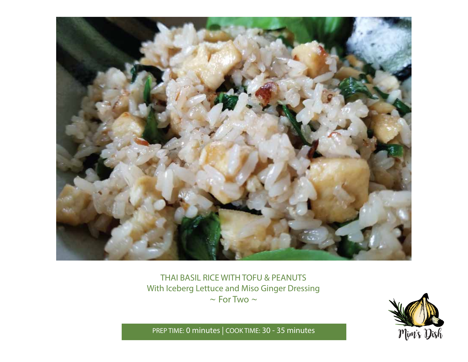

## THAI BASIL RICE WITH TOFU & PEANUTS With Iceberg Lettuce and Miso Ginger Dressing *~* For Two *~*



PREP TIME: **0 minutes** | COOK TIME: **30 - 35 minutes**